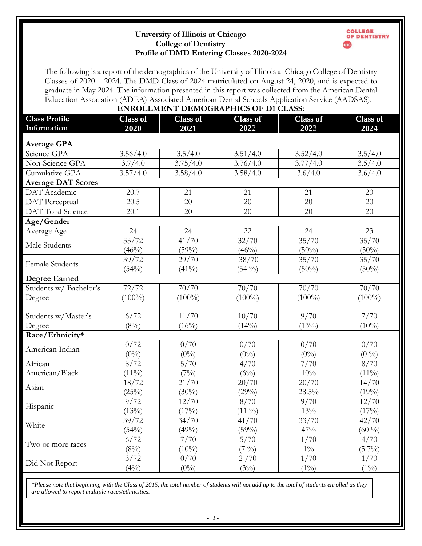## **University of Illinois at Chicago College of Dentistry Profile of DMD Entering Classes 2020-2024**



The following is a report of the demographics of the University of Illinois at Chicago College of Dentistry Classes of 2020 – 2024. The DMD Class of 2024 matriculated on August 24, 2020, and is expected to graduate in May 2024. The information presented in this report was collected from the American Dental Education Association (ADEA) Associated American Dental Schools Application Service (AADSAS). **ENPOLLMENT DEMOGRAPHICS OF D1 CLASS.** 

| EINRULLMENT DEMUGRAPHICS OF DI CLASS: |                 |                 |                   |                 |                 |  |  |  |  |
|---------------------------------------|-----------------|-----------------|-------------------|-----------------|-----------------|--|--|--|--|
| <b>Class Profile</b>                  | <b>Class of</b> | <b>Class of</b> | <b>Class of</b>   | <b>Class of</b> | <b>Class of</b> |  |  |  |  |
| Information                           | 2020            | 2021            | 2022              | 2023            | 2024            |  |  |  |  |
| <b>Average GPA</b>                    |                 |                 |                   |                 |                 |  |  |  |  |
| Science GPA                           | 3.56/4.0        | 3.5/4.0         | 3.51/4.0          | 3.52/4.0        | 3.5/4.0         |  |  |  |  |
| Non-Science GPA                       | 3.7/4.0         | 3.75/4.0        | 3.76/4.0          | 3.77/4.0        | 3.5/4.0         |  |  |  |  |
| Cumulative GPA                        | 3.57/4.0        | 3.58/4.0        | 3.58/4.0          | 3.6/4.0         | 3.6/4.0         |  |  |  |  |
| <b>Average DAT Scores</b>             |                 |                 |                   |                 |                 |  |  |  |  |
| DAT Academic                          | 20.7            | 21              | 21                | 21              | 20              |  |  |  |  |
| DAT Perceptual                        | 20.5            | 20              | 20                | 20              | 20              |  |  |  |  |
| DAT Total Science                     | 20.1            | 20              | 20                | 20              | 20              |  |  |  |  |
| Age/Gender                            |                 |                 |                   |                 |                 |  |  |  |  |
| Average Age                           | 24              | 24              | 22                | 24              | 23              |  |  |  |  |
| Male Students                         | 33/72           | 41/70           | 32/70             | 35/70           | 35/70           |  |  |  |  |
|                                       | (46%)           | (59%)           | (46%)             | $(50\%)$        | $(50\%)$        |  |  |  |  |
| <b>Female Students</b>                | 39/72           | 29/70           | 38/70             | 35/70           | 35/70           |  |  |  |  |
|                                       | (54%)           | $(41\%)$        | $(54\%)$          | $(50\%)$        | $(50\%)$        |  |  |  |  |
| <b>Degree Earned</b>                  |                 |                 |                   |                 |                 |  |  |  |  |
| Students w/ Bachelor's                | 72/72           | 70/70           | 70/70             | 70/70           | 70/70           |  |  |  |  |
| Degree                                | $(100\%)$       | $(100\%)$       | $(100\%)$         | $(100\%)$       | $(100\%)$       |  |  |  |  |
|                                       |                 |                 |                   |                 |                 |  |  |  |  |
| Students w/Master's                   | 6/72            | 11/70           | 10/70             | 9/70            | 7/70            |  |  |  |  |
| Degree                                | $(8\%)$         | $(16\%)$        | $(14\%)$          | $(13\%)$        | $(10\%)$        |  |  |  |  |
| Race/Ethnicity*                       |                 |                 |                   |                 |                 |  |  |  |  |
| American Indian                       | 0/72            | 0/70            | 0/70              | 0/70            | 0/70            |  |  |  |  |
|                                       | $(0\%)$         | $(0\%)$         | $(0\%)$           | $(0\%)$         | (0, 0)          |  |  |  |  |
| African                               | 8/72            | 5/70            | 4/70              | 7/70            | 8/70            |  |  |  |  |
| American/Black                        | $(11\%)$        | $(7\%)$         | $(6\%)$           | 10%             | $(11\%)$        |  |  |  |  |
| Asian                                 | 18/72           | $\frac{21}{70}$ | 20/70             | $\sqrt{20/70}$  | 14/70           |  |  |  |  |
|                                       | (25%)           | $(30\%)$        | (29%)             | 28.5%           | (19%)           |  |  |  |  |
| Hispanic                              | 9/72            | 12/70           | 8/70              | 9/70            | 12/70           |  |  |  |  |
|                                       | (13%)           | (17%)           | $(11 \%)$         | $13\%$          | (17%)           |  |  |  |  |
| White                                 | 39/72           | 34/70           | 41/70             | 33/70           | 42/70           |  |  |  |  |
|                                       | (54%)           | (49%)           | (59%)             | 47%             | $(60\%)$        |  |  |  |  |
| Two or more races                     | 6/72            | 7/70            | 5/70              | 1/70            | $\frac{4}{70}$  |  |  |  |  |
|                                       | $(8\%)$         | $(10\%)$        | $(7 \frac{9}{0})$ | $1\%$           | $(5.7\%)$       |  |  |  |  |
| Did Not Report                        | 3/72            | 0/70            | 2/70              | 1/70            | 1/70            |  |  |  |  |
|                                       | $(4\%)$         | $(0\%)$         | (3%)              | $(1\%)$         | $(1\%)$         |  |  |  |  |

*\*Please note that beginning with the Class of 2015, the total number of students will not add up to the total of students enrolled as they are allowed to report multiple races/ethnicities.*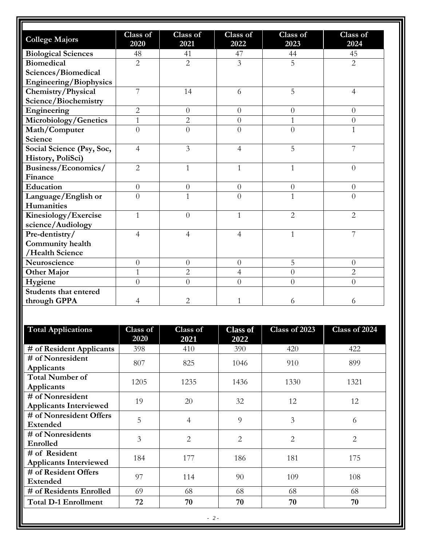| <b>College Majors</b>         | Class of<br>2020 | Class of<br>2021 | Class of<br>2022 | Class of<br>2023 | Class of<br>2024 |
|-------------------------------|------------------|------------------|------------------|------------------|------------------|
| <b>Biological Sciences</b>    | 48               | 41               | 47               | 44               | 45               |
| <b>Biomedical</b>             | $\overline{2}$   | $\overline{2}$   | 3                | $\overline{5}$   | $\overline{2}$   |
| Sciences/Biomedical           |                  |                  |                  |                  |                  |
| <b>Engineering/Biophysics</b> |                  |                  |                  |                  |                  |
| Chemistry/Physical            | 7                | 14               | 6                | 5                | $\overline{4}$   |
| Science/Biochemistry          |                  |                  |                  |                  |                  |
| Engineering                   | $\overline{2}$   | $\overline{0}$   | $\overline{0}$   | $\overline{0}$   | $\overline{0}$   |
| Microbiology/Genetics         | $\mathbf{1}$     | $\overline{2}$   | $\overline{0}$   | $\mathbf{1}$     | $\overline{0}$   |
| Math/Computer                 | $\overline{0}$   | $\overline{0}$   | $\overline{0}$   | $\overline{O}$   | 1                |
| Science                       |                  |                  |                  |                  |                  |
| Social Science (Psy, Soc,     | $\overline{4}$   | $\overline{3}$   | $\overline{4}$   | 5                | 7                |
| History, PoliSci)             |                  |                  |                  |                  |                  |
| Business/Economics/           | $\overline{2}$   | 1                | $\mathbf{1}$     | $\mathbf{1}$     | $\overline{0}$   |
| Finance                       |                  |                  |                  |                  |                  |
| Education                     | $\overline{0}$   | $\overline{0}$   | $\overline{0}$   | $\overline{0}$   | $\overline{0}$   |
| Language/English or           | $\theta$         | 1                | $\overline{0}$   | 1                | $\theta$         |
| Humanities                    |                  |                  |                  |                  |                  |
| Kinesiology/Exercise          | $\mathbf{1}$     | $\theta$         | $\mathbf{1}$     | $\overline{2}$   | $\overline{2}$   |
| science/Audiology             |                  |                  |                  |                  |                  |
| Pre-dentistry/                | $\overline{4}$   | $\overline{4}$   | $\overline{4}$   | $\mathbf{1}$     | 7                |
| Community health              |                  |                  |                  |                  |                  |
| /Health Science               |                  |                  |                  |                  |                  |
| Neuroscience                  | $\overline{0}$   | $\overline{0}$   | $\overline{0}$   | 5                | $\theta$         |
| <b>Other Major</b>            | $\mathbf{1}$     | $\overline{2}$   | 4                | $\overline{0}$   | $\overline{2}$   |
| Hygiene                       | $\overline{0}$   | $\overline{0}$   | $\overline{0}$   | $\overline{0}$   | $\overline{0}$   |
| <b>Students that entered</b>  |                  |                  |                  |                  |                  |
| through GPPA                  | $\overline{4}$   | 2                | 1                | 6                | 6                |

| <b>Total Applications</b>     | <b>Class of</b> | Class of | <b>Class of</b> | Class of 2023  | Class of 2024  |
|-------------------------------|-----------------|----------|-----------------|----------------|----------------|
|                               | 2020            | 2021     | 2022            |                |                |
| # of Resident Applicants      | 398             | 410      | 390             | 420            | 422            |
| # of Nonresident              | 807             | 825      | 1046            | 910            | 899            |
| Applicants                    |                 |          |                 |                |                |
| <b>Total Number of</b>        | 1205            | 1235     | 1436            | 1330           | 1321           |
| Applicants                    |                 |          |                 |                |                |
| # of Nonresident              | 19              | 20       | 32              | 12             | 12             |
| <b>Applicants Interviewed</b> |                 |          |                 |                |                |
| # of Nonresident Offers       | 5               | 4        | 9               | 3              | 6              |
| <b>Extended</b>               |                 |          |                 |                |                |
| # of Nonresidents             | 3               | 2        | $\overline{2}$  | $\overline{2}$ | $\overline{2}$ |
| Enrolled                      |                 |          |                 |                |                |
| # of Resident                 | 184             | 177      | 186             | 181            | 175            |
| <b>Applicants Interviewed</b> |                 |          |                 |                |                |
| # of Resident Offers          | 97              | 114      | 90              | 109            | 108            |
| <b>Extended</b>               |                 |          |                 |                |                |
| # of Residents Enrolled       | 69              | 68       | 68              | 68             | 68             |
| <b>Total D-1 Enrollment</b>   | 72              | 70       | 70              | 70             | 70             |
|                               |                 |          |                 |                |                |